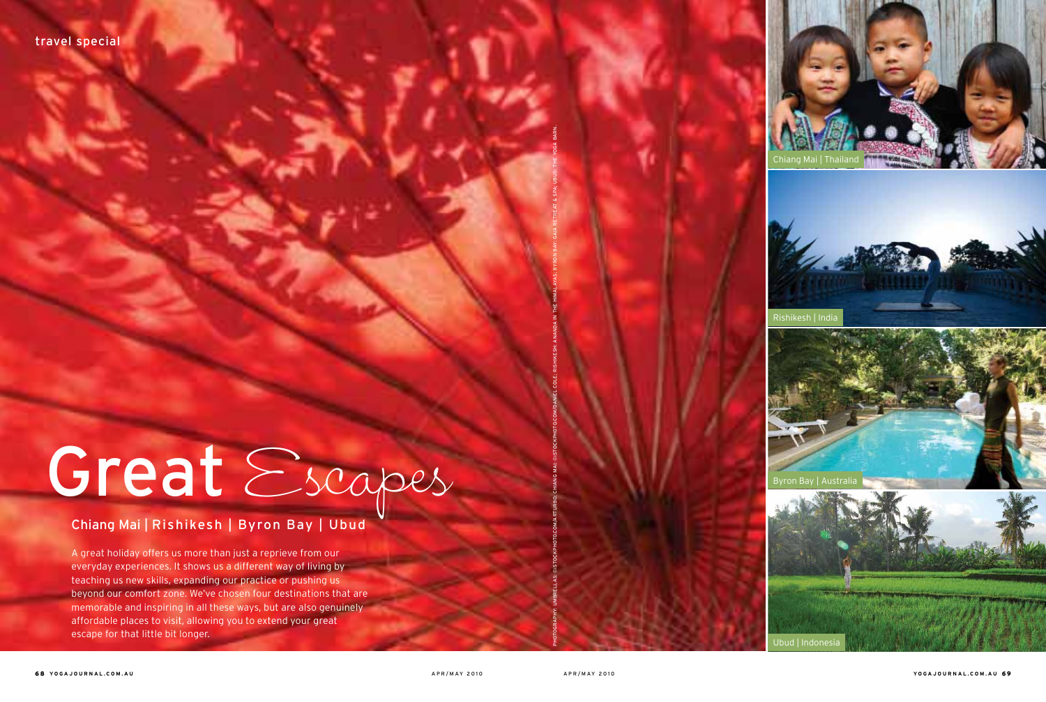

A great holiday offers us more than just a reprieve from our everyday experiences. It shows us a different way of living by teaching us new skills, expanding our practice or pushing us beyond our comfort zone. We've chosen four destinations that are memorable and inspiring in all these ways, but are also genuinely affordable places to visit, allowing you to extend your great escape for that little bit longer.









Ubud | Indones



Photography: umbrellas: ©iStockphoto.com/arturbo; chiang mai: ©iStockphoto.com/Daniel Cole; rishikesh: ananda in the himalayas; Byron bay: gaia retreat & spa; ubud: the yoga barn.

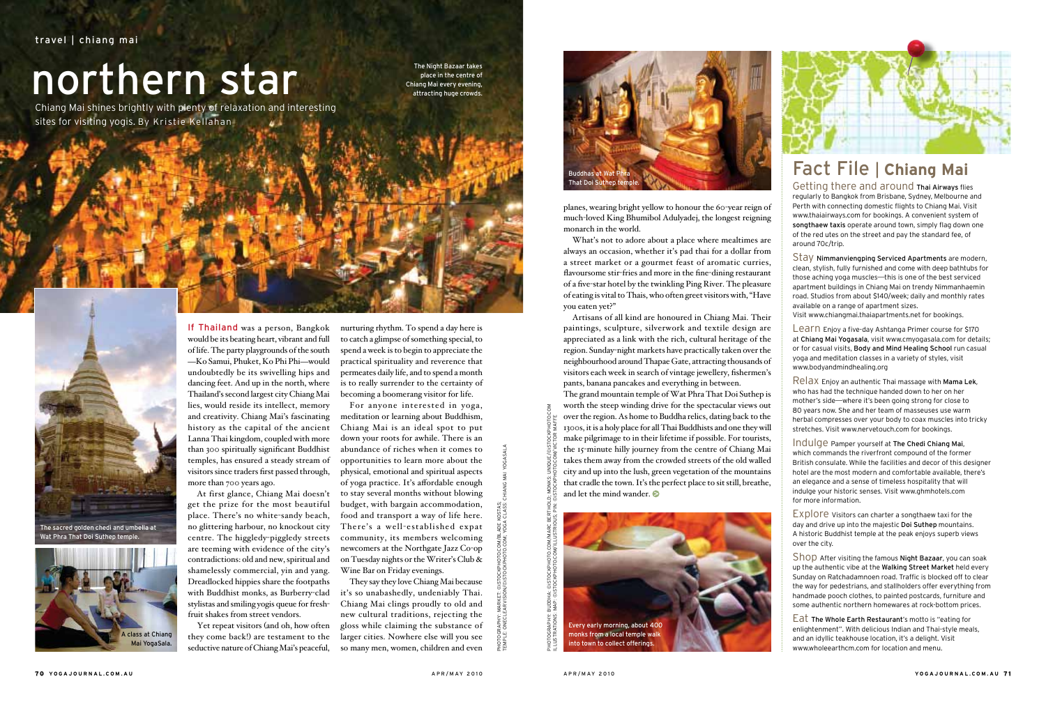If Thailand was a person, Bangkok would be its beating heart, vibrant and full of life. The party playgrounds of the south -Ko Samui, Phuket, Ko Phi Phi-would undoubtedly be its swivelling hips and dancing feet. And up in the north, where Thailand's second largest city Chiang Mai lies, would reside its intellect, memory and creativity. Chiang Mai's fascinating history as the capital of the ancient Lanna Thai kingdom, coupled with more than 300 spiritually significant Buddhist temples, has ensured a steady stream of visitors since traders first passed through, more than 700 years ago.

At first glance, Chiang Mai doesn't get the prize for the most beautiful place. There's no white-sandy beach, no glittering harbour, no knockout city centre. The higgledy-piggledy streets are teeming with evidence of the city's contradictions: old and new, spiritual and shamelessly commercial, yin and yang. Dreadlocked hippies share the footpaths with Buddhist monks, as Burberry-clad stylistas and smiling yogis queue for freshfruit shakes from street vendors.

Yet repeat visitors (and oh, how often they come back!) are testament to the seductive nature of Chiang Mai's peaceful,

Chiang Mai shines brightly with plenty of relaxation and interesting sites for visiting yogis. By Kristie Kellahan a i

> nurturing rhythm. To spend a day here is to catch a glimpse of something special, to spend a week is to begin to appreciate the practical spirituality and reverence that permeates daily life, and to spend a month is to really surrender to the certainty of becoming a boomerang visitor for life.

The grand mountain temple of Wat Phra That Doi Suthep is worth the steep winding drive for the spectacular views out over the region. As home to Buddha relics, dating back to the 1300s, it is a holy place for all Thai Buddhists and one they will make pilgrimage to in their lifetime if possible. For tourists, the 15-minute hilly journey from the centre of Chiang Mai takes them away from the crowded streets of the old walled city and up into the lush, green vegetation of the mountains that cradle the town. It's the perfect place to sit still, breathe, and let the mind wander.

For anyone interested in yoga, meditation or learning about Buddhism, Chiang Mai is an ideal spot to put down your roots for awhile. There is an abundance of riches when it comes to opportunities to learn more about the physical, emotional and spiritual aspects of yoga practice. It's affordable enough to stay several months without blowing budget, with bargain accommodation, food and transport a way of life here. There's a well-established expat community, its members welcoming newcomers at the Northgate Jazz Co-op on Tuesday nights or the Writer's Club & Wine Bar on Friday evenings.

They say they love Chiang Mai because it's so unabashedly, undeniably Thai. Chiang Mai clings proudly to old and new cultural traditions, rejecting the gloss while claiming the substance of larger cities. Nowhere else will you see so many men, women, children and even

# northern star

Learn Enjoy a five-day Ashtanga Primer course for \$170 at Chiang Mai Yogasala, visit www.cmyogasala.com for details; or for casual visits, Body and Mind Healing School run casual yoga and meditation classes in a variety of styles, visit www.bodyandmindhealing.org

planes, wearing bright yellow to honour the 60-year reign of much-loved King Bhumibol Adulyadej, the longest reigning monarch in the world.

What's not to adore about a place where mealtimes are always an occasion, whether it's pad thai for a dollar from a street market or a gourmet feast of aromatic curries, flavoursome stir-fries and more in the fine-dining restaurant of a five-star hotel by the twinkling Ping River. The pleasure of eating is vital to Thais, who often greet visitors with, "Have you eaten yet?"

Artisans of all kind are honoured in Chiang Mai. Their paintings, sculpture, silverwork and textile design are appreciated as a link with the rich, cultural heritage of the region. Sunday-night markets have practically taken over the neighbourhood around Thapae Gate, attracting thousands of visitors each week in search of vintage jewellery, fishermen's pants, banana pancakes and everything in between.

## Fact File | **Chiang Mai**

Getting there and around Thai Airways flies regularly to Bangkok from Brisbane, Sydney, Melbourne and Perth with connecting domestic flights to Chiang Mai. Visit www.thaiairways.com for bookings. A convenient system of songthaew taxis operate around town, simply flag down one of the red utes on the street and pay the standard fee, of around 70c/trip.

Stay Nimmanviengping Serviced Apartments are modern, clean, stylish, fully furnished and come with deep bathtubs for those aching yoga muscles—this is one of the best serviced apartment buildings in Chiang Mai on trendy Nimmanhaemin road. Studios from about \$140/week; daily and monthly rates available on a range of apartment sizes.

Visit www.chiangmai.thaiapartments.net for bookings.

Relax Enjoy an authentic Thai massage with Mama Lek, who has had the technique handed down to her on her mother's side—where it's been going strong for close to 80 years now. She and her team of masseuses use warm herbal compresses over your body to coax muscles into tricky stretches. Visit www.nervetouch.com for bookings.

Indulge Pamper yourself at The Chedi Chiang Mai, which commands the riverfront compound of the former British consulate. While the facilities and decor of this designer hotel are the most modern and comfortable available, there's an elegance and a sense of timeless hospitality that will indulge your historic senses. Visit www.ghmhotels.com for more information.

Explore Visitors can charter a songthaew taxi for the day and drive up into the majestic Doi Suthep mountains. A historic Buddhist temple at the peak enjoys superb views over the city.

Shop After visiting the famous Night Bazaar, you can soak up the authentic vibe at the Walking Street Market held every Sunday on Ratchadamnoen road. Traffic is blocked off to clear the way for pedestrians, and stallholders offer everything from handmade pooch clothes, to painted postcards, furniture and some authentic northern homewares at rock-bottom prices.

Eat The Whole Earth Restaurant's motto is "eating for enlightenment". With delicious Indian and Thai-style meals, and an idyllic teakhouse location, it's a delight. Visit www.wholeearthcm.com for location and menu.



The sacred golden chedi and umbella at Wat Phra That Doi Suthep temple.



The Night Bazaar takes place in the centre of Chiang Mai every evening, attracting huge crowds.





Photography: Market: ©iStockphoto.com/Blade kostas;

Temple: oneclearvision/©iStockphoto.com; Yoga class: chiang mai yogasala

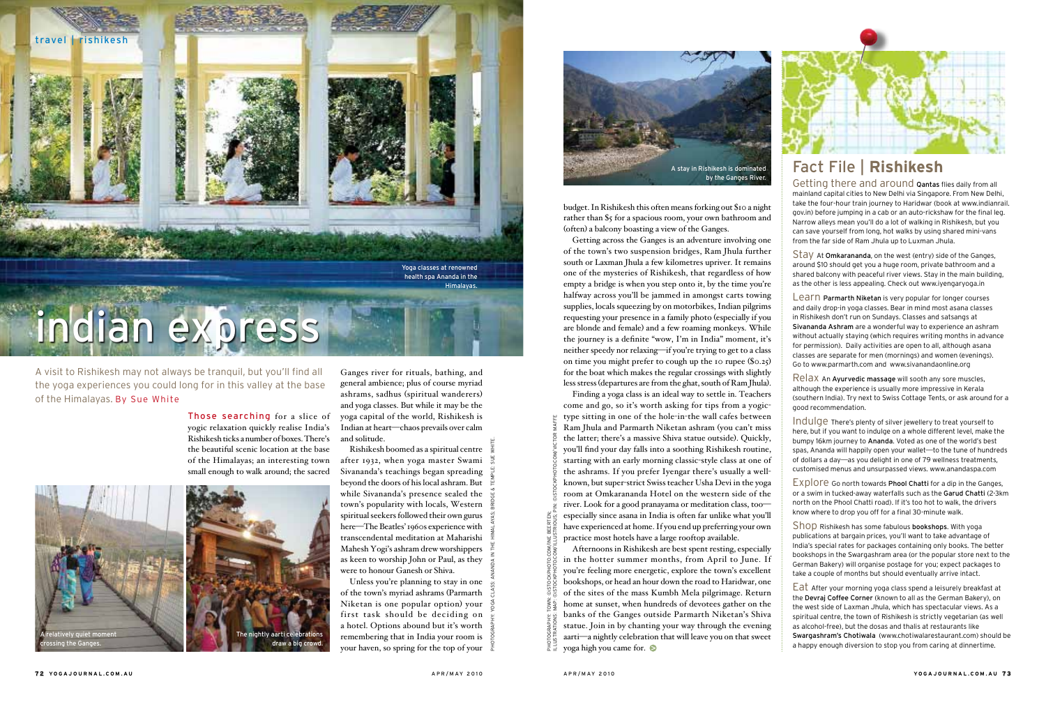Those searching for a slice of yogic relaxation quickly realise India's Rishikesh ticks a number of boxes. There's the beautiful scenic location at the base of the Himalayas; an interesting town small enough to walk around; the sacred

Ganges river for rituals, bathing, and general ambience; plus of course myriad ashrams, sadhus (spiritual wanderers) and yoga classes. But while it may be the yoga capital of the world, Rishikesh is Indian at heart—chaos prevails over calm and solitude.

Rishikesh boomed as a spiritual centre after 1932, when yoga master Swami Sivananda's teachings began spreading beyond the doors of his local ashram. But while Sivananda's presence sealed the town's popularity with locals, Western spiritual seekers followed their own gurus here—The Beatles' 1960s experience with transcendental meditation at Maharishi Mahesh Yogi's ashram drew worshippers as keen to worship John or Paul, as they were to honour Ganesh or Shiva.

Unless you're planning to stay in one of the town's myriad ashrams (Parmarth Niketan is one popular option) your first task should be deciding on a hotel. Options abound but it's worth remembering that in India your room is your haven, so spring for the top of your Learn Parmarth Niketan is very popular for longer courses and daily drop-in yoga classes. Bear in mind most asana classes in Rishikesh don't run on Sundays. Classes and satsangs at Sivananda Ashram are a wonderful way to experience an ashram without actually staying (which requires writing months in advance for permission). Daily activities are open to all, although asana classes are separate for men (mornings) and women (evenings). Go to www.parmarth.com and www.sivanandaonline.org

## Fact File | **Rishikesh**

Getting there and around Qantas flies daily from all mainland capital cities to New Delhi via Singapore. From New Delhi, take the four-hour train journey to Haridwar (book at www.indianrail. gov.in) before jumping in a cab or an auto-rickshaw for the final leg. Narrow alleys mean you'll do a lot of walking in Rishikesh, but you can save yourself from long, hot walks by using shared mini-vans from the far side of Ram Jhula up to Luxman Jhula.

Stay At Omkarananda, on the west (entry) side of the Ganges, around \$10 should get you a huge room, private bathroom and a shared balcony with peaceful river views. Stay in the main building, as the other is less appealing. Check out www.iyengaryoga.in

Relax An Ayurvedic massage will sooth any sore muscles, although the experience is usually more impressive in Kerala (southern India). Try next to Swiss Cottage Tents, or ask around for a good recommendation.

Indulge There's plenty of silver jewellery to treat yourself to here, but if you want to indulge on a whole different level, make the bumpy 16km journey to Ananda. Voted as one of the world's best spas, Ananda will happily open your wallet—to the tune of hundreds of dollars a day—as you delight in one of 79 wellness treatments, customised menus and unsurpassed views. www.anandaspa.com

Explore Go north towards Phool Chatti for a dip in the Ganges, or a swim in tucked-away waterfalls such as the Garud Chatti (2-3km north on the Phool Chatti road). If it's too hot to walk, the drivers know where to drop you off for a final 30-minute walk.

Shop Rishikesh has some fabulous bookshops. With yoga publications at bargain prices, you'll want to take advantage of India's special rates for packages containing only books. The better bookshops in the Swargashram area (or the popular store next to the German Bakery) will organise postage for you; expect packages to take a couple of months but should eventually arrive intact.

Eat After your morning yoga class spend a leisurely breakfast at the Devraj Coffee Corner (known to all as the German Bakery), on the west side of Laxman Jhula, which has spectacular views. As a spiritual centre, the town of Rishikesh is strictly vegetarian (as well as alcohol-free), but the dosas and thalis at restaurants like Swargashram's Chotiwala (www.chotiwalarestaurant.com) should be a happy enough diversion to stop you from caring at dinnertime.

A visit to Rishikesh may not always be tranquil, but you'll find all the yoga experiences you could long for in this valley at the base of the Himalayas. By Sue White

budget. In Rishikesh this often means forking out \$10 a night rather than \$5 for a spacious room, your own bathroom and (often) a balcony boasting a view of the Ganges.

Getting across the Ganges is an adventure involving one of the town's two suspension bridges, Ram Jhula further south or Laxman Jhula a few kilometres upriver. It remains one of the mysteries of Rishikesh, that regardless of how empty a bridge is when you step onto it, by the time you're halfway across you'll be jammed in amongst carts towing supplies, locals squeezing by on motorbikes, Indian pilgrims requesting your presence in a family photo (especially if you are blonde and female) and a few roaming monkeys. While the journey is a definite "wow, I'm in India" moment, it's neither speedy nor relaxing—if you're trying to get to a class on time you might prefer to cough up the 10 rupee (\$0.25) for the boat which makes the regular crossings with slightly less stress (departures are from the ghat, south of Ram Jhula).



Finding a yoga class is an ideal way to settle in. Teachers come and go, so it's worth asking for tips from a yogictype sitting in one of the hole-in-the wall cafes between Ram Jhula and Parmarth Niketan ashram (you can't miss the latter; there's a massive Shiva statue outside). Quickly, you'll find your day falls into a soothing Rishikesh routine, starting with an early morning classic-style class at one of the ashrams. If you prefer Iyengar there's usually a wellknown, but super-strict Swiss teacher Usha Devi in the yoga room at Omkarananda Hotel on the western side of the river. Look for a good pranayama or meditation class, too especially since asana in India is often far unlike what you'll have experienced at home. If you end up preferring your own practice most hotels have a large rooftop available.

Afternoons in Rishikesh are best spent resting, especially in the hotter summer months, from April to June. If you're feeling more energetic, explore the town's excellent bookshops, or head an hour down the road to Haridwar, one of the sites of the mass Kumbh Mela pilgrimage. Return home at sunset, when hundreds of devotees gather on the banks of the Ganges outside Parmarth Niketan's Shiva statue. Join in by chanting your way through the evening aarti—a nightly celebration that will leave you on that sweet yoga high you came for. illustrations: map: ©iStockphoto.com/Illustrious; Pin: ©iStockphoto.com/Victor Maffe





Photography: Yoga class: ananda in the himalayas; bridge & temple: sue white.

Photography: town: ©iStockphoto.com/Ine Beerten;

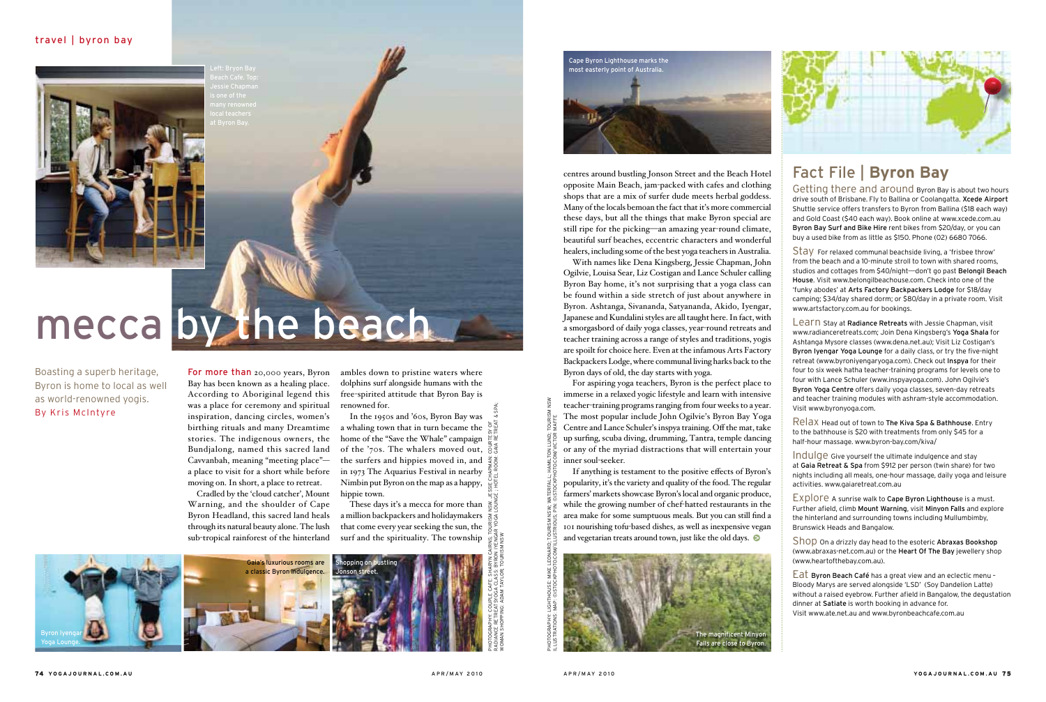#### travel | byron bay



# mecca by the beach

For more than 20,000 years, Byron Bay has been known as a healing place. According to Aboriginal legend this was a place for ceremony and spiritual inspiration, dancing circles, women's birthing rituals and many Dreamtime stories. The indigenous owners, the Cavvanbah, meaning "meeting place" a place to visit for a short while before moving on. In short, a place to retreat.

Cradled by the 'cloud catcher', Mount Warning, and the shoulder of Cape Byron Headland, this sacred land heals through its natural beauty alone. The lush sub-tropical rainforest of the hinterland

Bundjalong, named this sacred land of the '70s. The whalers moved out, In the 1950s and '60s, Byron Bay was a whaling town that in turn became the home of the "Save the Whale" campaign the surfers and hippies moved in, and  $\frac{2}{3}$ in 1973 The Aquarius Festival in nearby Nimbin put Byron on the map as a happy, hippie town.

ambles down to pristine waters where dolphins surf alongside humans with the free-spirited attitude that Byron Bay is renowned for.

These days it's a mecca for more than a million backpackers and holidaymakers  $\frac{1}{8}$ that come every year seeking the sun, the surf and the spirituality. The township

Boasting a superb heritage, Byron is home to local as well as world-renowned yogis. By Kris McIntyre

> If anything is testament to the positive effects of Byron's popularity, it's the variety and quality of the food. The regular farmers' markets showcase Byron's local and organic produce, while the growing number of chef-hatted restaurants in the area make for some sumptuous meals. But you can still find a 101 nourishing tofu-based dishes, as well as inexpensive vegan and vegetarian treats around town, just like the old days.  $\bullet$

centres around bustling Jonson Street and the Beach Hotel opposite Main Beach, jam-packed with cafes and clothing shops that are a mix of surfer dude meets herbal goddess. Many of the locals bemoan the fact that it's more commercial these days, but all the things that make Byron special are still ripe for the picking—an amazing year-round climate, beautiful surf beaches, eccentric characters and wonderful healers, including some of the best yoga teachers in Australia.

With names like Dena Kingsberg, Jessie Chapman, John Ogilvie, Louisa Sear, Liz Costigan and Lance Schuler calling Byron Bay home, it's not surprising that a yoga class can be found within a side stretch of just about anywhere in Byron. Ashtanga, Sivananda, Satyananda, Akido, Iyengar, Japanese and Kundalini styles are all taught here. In fact, with a smorgasbord of daily yoga classes, year-round retreats and teacher training across a range of styles and traditions, yogis are spoilt for choice here. Even at the infamous Arts Factory Backpackers Lodge, where communal living harks back to the Byron days of old, the day starts with yoga.

Learn Stay at Radiance Retreats with Jessie Chapman, visit www.radianceretreats.com; Join Dena Kingsberg's Yoga Shala for Ashtanga Mysore classes (www.dena.net.au); Visit Liz Costigan's Byron Iyengar Yoga Lounge for a daily class, or try the five-night retreat (www.byroniyengaryoga.com). Check out Inspya for their four to six week hatha teacher-training programs for levels one to four with Lance Schuler (www.inspyayoga.com). John Ogilvie's Byron Yoga Centre offers daily yoga classes, seven-day retreats and teacher training modules with ashram-style accommodation. Visit www.byronyoga.com.

For aspiring yoga teachers, Byron is the perfect place to immerse in a relaxed yogic lifestyle and learn with intensive teacher-training programs ranging from four weeks to a year. The most popular include John Ogilvie's Byron Bay Yoga Centre and Lance Schuler's inspya training. Off the mat, take up surfing, scuba diving, drumming, Tantra, temple dancing or any of the myriad distractions that will entertain your inner soul-seeker.

## Fact File | **Byron Bay**

Getting there and around Byron Bay is about two hours drive south of Brisbane. Fly to Ballina or Coolangatta. Xcede Airport Shuttle service offers transfers to Byron from Ballina (\$18 each way) and Gold Coast (\$40 each way). Book online at www.xcede.com.au Byron Bay Surf and Bike Hire rent bikes from \$20/day, or you can buy a used bike from as little as \$150. Phone (02) 6680 7066.

Stay For relaxed communal beachside living, a 'frisbee throw' from the beach and a 10-minute stroll to town with shared rooms, studios and cottages from \$40/night—don't go past Belongil Beach House. Visit www.belongilbeachouse.com. Check into one of the 'funky abodes' at Arts Factory Backpackers Lodge for \$18/day camping; \$34/day shared dorm; or \$80/day in a private room. Visit www.artsfactory.com.au for bookings.

Relax Head out of town to The Kiva Spa & Bathhouse. Entry to the bathhouse is \$20 with treatments from only \$45 for a half-hour massage. www.byron-bay.com/kiva/

Indulge Give yourself the ultimate indulgence and stay at Gaia Retreat & Spa from \$912 per person (twin share) for two nights including all meals, one-hour massage, daily yoga and leisure activities. www.gaiaretreat.com.au

Explore A sunrise walk to Cape Byron Lighthouse is a must. Further afield, climb Mount Warning, visit Minyon Falls and explore the hinterland and surrounding towns including Mullumbimby, Brunswick Heads and Bangalow.

Shop On a drizzly day head to the esoteric Abraxas Bookshop (www.abraxas-net.com.au) or the Heart Of The Bay jewellery shop (www.heartofthebay.com.au).

Eat Byron Beach Café has a great view and an eclectic menu – Bloody Marys are served alongside 'LSD' (Soy Dandelion Latte) without a raised eyebrow. Further afield in Bangalow, the degustation dinner at Satiate is worth booking in advance for. Visit www.ate.net.au and www.byronbeachcafe.com.au







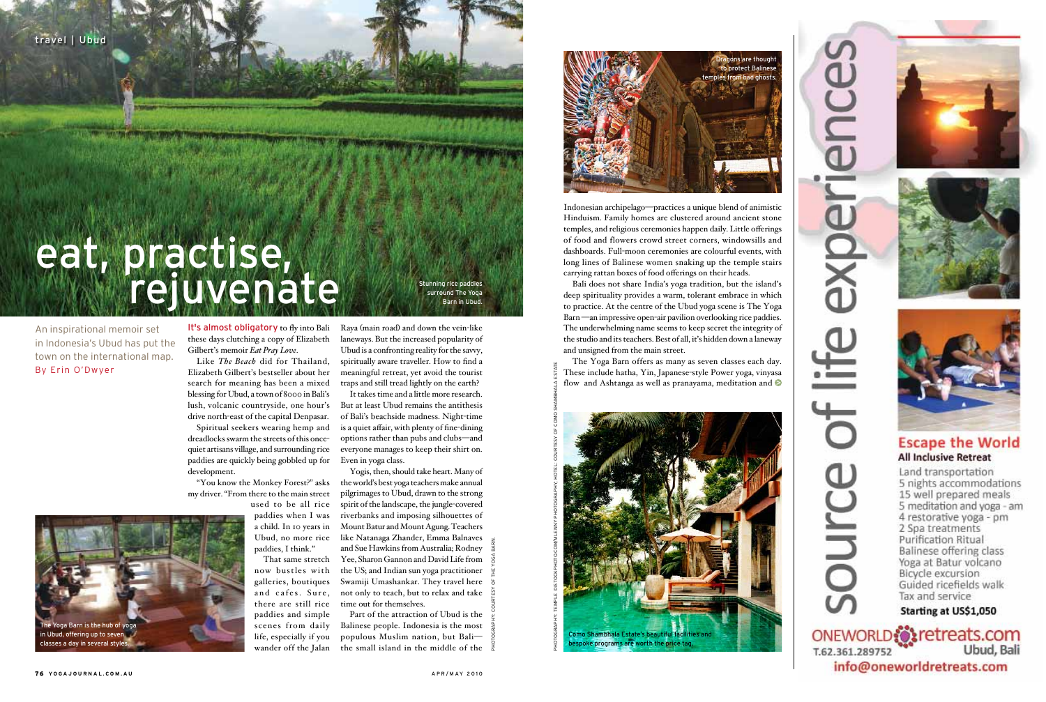It's almost obligatory to fly into Bali these days clutching a copy of Elizabeth Gilbert's memoir *Eat Pray Love*.

Like *The Beach* did for Thailand, Elizabeth Gilbert's bestseller about her search for meaning has been a mixed blessing for Ubud, a town of 8000 in Bali's lush, volcanic countryside, one hour's drive north-east of the capital Denpasar.

Spiritual seekers wearing hemp and dreadlocks swarm the streets of this oncequiet artisans village, and surrounding rice paddies are quickly being gobbled up for Even in yoga class. development.

"You know the Monkey Forest?" asks my driver. "From there to the main street used to be all rice

paddies when I was a child. In 10 years in Ubud, no more rice paddies, I think."

That same stretch now bustles with galleries, boutiques and cafes. Sure, there are still rice paddies and simple scenes from daily life, especially if you wander off the Jalan

Raya (main road) and down the vein-like laneways. But the increased popularity of Ubud is a confronting reality for the savvy, spiritually aware traveller. How to find a meaningful retreat, yet avoid the tourist traps and still tread lightly on the earth?

It takes time and a little more research. But at least Ubud remains the antithesis of Bali's beachside madness. Night-time is a quiet affair, with plenty of fine-dining options rather than pubs and clubs—and everyone manages to keep their shirt on.

The Yoga Barn offers as many as seven classes each day. These include hatha, Yin, Japanese-style Power yoga, vinyasa flow and Ashtanga as well as pranayama, meditation and  $\bullet$ 

## eat, practise, **Manual rejuvenate**

Yogis, then, should take heart. Many of the world's best yoga teachers make annual pilgrimages to Ubud, drawn to the strong spirit of the landscape, the jungle-covered riverbanks and imposing silhouettes of Mount Batur and Mount Agung. Teachers like Natanaga Zhander, Emma Balnaves and Sue Hawkins from Australia; Rodney Yee, Sharon Gannon and David Life from the US; and Indian sun yoga practitioner Swamiji Umashankar. They travel here not only to teach, but to relax and take time out for themselves.

ning rice paddies surround The Yoga Barn in Ubud.

Part of the attraction of Ubud is the Balinese people. Indonesia is the most populous Muslim nation, but Bali the small island in the middle of the

An inspirational memoir set in Indonesia's Ubud has put the town on the international map. By Erin O'Dwyer

Indonesian archipelago—practices a unique blend of animistic Hinduism. Family homes are clustered around ancient stone temples, and religious ceremonies happen daily. Little offerings of food and flowers crowd street corners, windowsills and dashboards. Full-moon ceremonies are colourful events, with long lines of Balinese women snaking up the temple stairs carrying rattan boxes of food offerings on their heads.

Bali does not share India's yoga tradition, but the island's deep spirituality provides a warm, tolerant embrace in which to practice. At the centre of the Ubud yoga scene is The Yoga Barn —an impressive open-air pavilion overlooking rice paddies. The underwhelming name seems to keep secret the integrity of the studio and its teachers. Best of all, it's hidden down a laneway and unsigned from the main street.







Photography: courtesy of The yoga barn.





experience

iii<br>Le

 $\overline{5}$ 

pollice



#### **Escape the World All Inclusive Retreat**

Land transportation 5 nights accommodations 15 well prepared meals 5 meditation and yoga - am 4 restorative yoga - pm 2 Spa treatments **Purification Ritual** Balinese offering class Yoga at Batur volcano Bicycle excursion Guided ricefields walk Tax and service

Starting at US\$1,050

ONEWORLD Stretreats.com Ubud, Bali T.62.361.289752 info@oneworldretreats.com